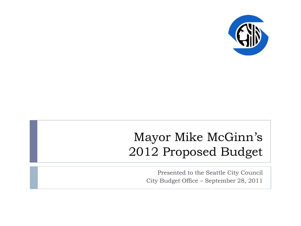

### Mayor Mike McGinn's 2012 Proposed Budget

Presented to the Seattle City Council City Budget Office – September 28, 2011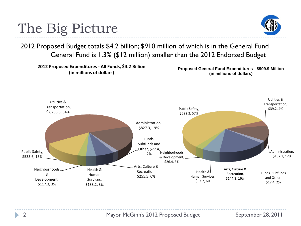# The Big Picture



2012 Proposed Budget totals \$4.2 billion; \$910 million of which is in the General Fund General Fund is 1.3% (\$12 million) smaller than the 2012 Endorsed Budget

**2012 Proposed Expenditures - All Funds, \$4.2 Billion (in millions of dollars)**

**Proposed General Fund Expenditures - \$909.9 Million (in millions of dollars)**

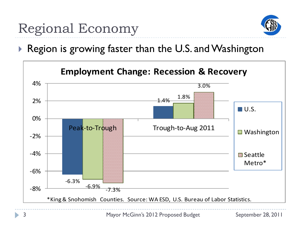

Region is growing faster than the U.S. and Washington

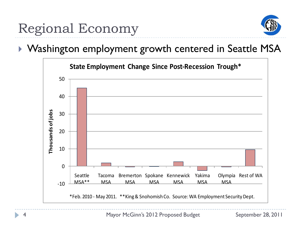

#### ▶ Washington employment growth centered in Seattle MSA

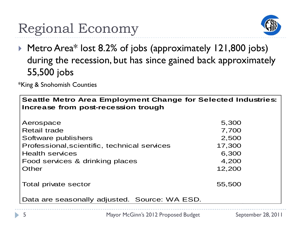# Regional Economy



▶ Metro Area\* lost 8.2% of jobs (approximately 121,800 jobs) during the recession, but has since gained back approximately 55,500 jobs

\*King & Snohomish Counties

| <b>Seattle Metro Area Employment Change for Selected Industries:</b><br>Increase from post-recession trough |        |  |  |
|-------------------------------------------------------------------------------------------------------------|--------|--|--|
| Aerospace                                                                                                   | 5,300  |  |  |
| <b>Retail trade</b>                                                                                         | 7,700  |  |  |
| Software publishers                                                                                         | 2,500  |  |  |
| Professional, scientific, technical services                                                                | 17,300 |  |  |
| <b>Health services</b>                                                                                      | 6,300  |  |  |
| Food services & drinking places                                                                             | 4,200  |  |  |
| Other                                                                                                       | 12,200 |  |  |
| Total private sector                                                                                        | 55,500 |  |  |
| Data are seasonally adjusted. Source: WA ESD.                                                               |        |  |  |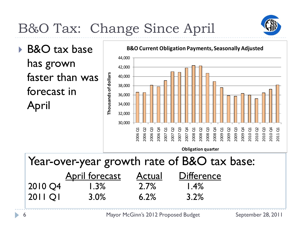

# B&O Tax: Change Since April

▶ B&O tax base has grown faster than was forecast in April



Year-over-year growth rate of B&O tax base: April forecast Actual Difference 2010 Q4 1.3% 2.7% 1.4% 2011 Q1 3.0% 6.2% 3.2%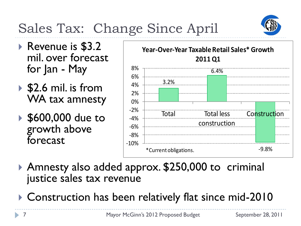# Sales Tax: Change Since April



- ▶ Revenue is \$3.2 mil. over forecast for Jan - May
- $\triangleright$  \$2.6 mil. is from WA tax amnesty
- **▶ \$600,000 due to** growth above forecast



- Amnesty also added approx. \$250,000 to criminal justice sales tax revenue
- ▶ Construction has been relatively flat since mid-2010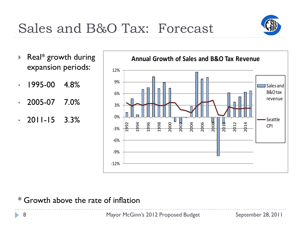

- Real\* growth during expansion periods:
- 1995-00 4.8%
- 2005-07 7.0%
- $\cdot$  2011-15 3.3%



#### \* Growth above the rate of inflation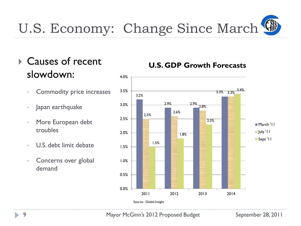

### **▶ Causes of recent** slowdown:

- Commodity price increases
- Japan earthquake
- More European debt troubles
- U.S. debt limit debate
- Concerns over global demand

#### **U.S. GDP Growth Forecasts**



9 Mayor McGinn's 2012 Proposed Budget September 28, 2011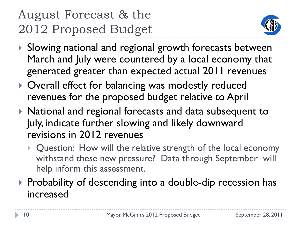# August Forecast & the 2012 Proposed Budget



- ▶ Slowing national and regional growth forecasts between March and July were countered by a local economy that generated greater than expected actual 2011 revenues
- ▶ Overall effect for balancing was modestly reduced revenues for the proposed budget relative to April
- ▶ National and regional forecasts and data subsequent to July, indicate further slowing and likely downward revisions in 2012 revenues
	- ▶ Question: How will the relative strength of the local economy withstand these new pressure? Data through September will help inform this assessment.
- ▶ Probability of descending into a double-dip recession has increased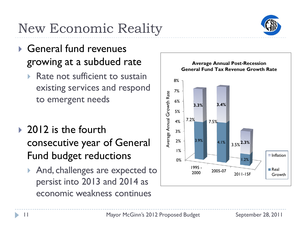# New Economic Reality

- General fund revenues growing at a subdued rate
	- Rate not sufficient to sustain existing services and respond to emergent needs
- ▶ 2012 is the fourth consecutive year of General Fund budget reductions
	- And, challenges are expected to persist into 2013 and 2014 as economic weakness continues



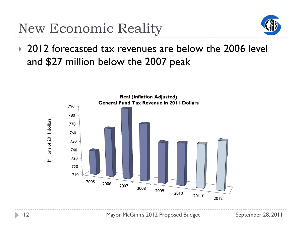New Economic Reality



▶ 2012 forecasted tax revenues are below the 2006 level and \$27 million below the 2007 peak

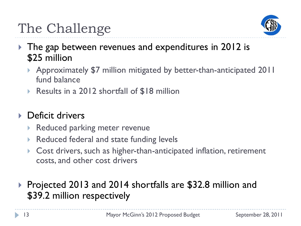

- ▶ The gap between revenues and expenditures in 2012 is \$25 million
	- Approximately \$7 million mitigated by better-than-anticipated 2011 fund balance
	- ▶ Results in a 2012 shortfall of \$18 million

### **Deficit drivers**

- ▶ Reduced parking meter revenue
- Reduced federal and state funding levels
- Cost drivers, such as higher-than-anticipated inflation, retirement costs, and other cost drivers
- ▶ Projected 2013 and 2014 shortfalls are \$32.8 million and \$39.2 million respectively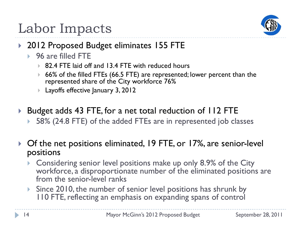

# Labor Impacts

- ▶ 2012 Proposed Budget eliminates 155 FTE
	- ▶ 96 are filled FTE
		- ▶ 82.4 FTE laid off and 13.4 FTE with reduced hours
		- ▶ 66% of the filled FTEs (66.5 FTE) are represented; lower percent than the represented share of the City workforce 76%
		- ▶ Layoffs effective January 3, 2012
- ▶ Budget adds 43 FTE, for a net total reduction of 112 FTE
	- 58% (24.8 FTE) of the added FTEs are in represented job classes
- ▶ Of the net positions eliminated, 19 FTE, or 17%, are senior-level positions
	- Considering senior level positions make up only 8.9% of the City workforce, a disproportionate number of the eliminated positions are from the senior-level ranks
	- Since 2010, the number of senior level positions has shrunk by 110 FTE, reflecting an emphasis on expanding spans of control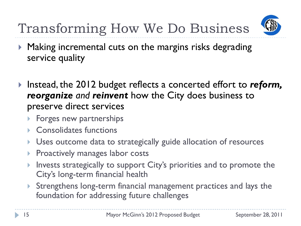Transforming How We Do Business



- ▶ Making incremental cuts on the margins risks degrading service quality
- Instead, the 2012 budget reflects a concerted effort to *reform, reorganize and reinvent* how the City does business to preserve direct services
	- Forges new partnerships
	- **Consolidates functions**
	- **Uses outcome data to strategically guide allocation of resources**
	- **Proactively manages labor costs**
	- Invests strategically to support City's priorities and to promote the City's long-term financial health
	- Strengthens long-term financial management practices and lays the foundation for addressing future challenges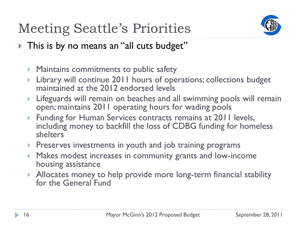

- This is by no means an "all cuts budget"
	- **Maintains commitments to public safety**
	- Library will continue 2011 hours of operations; collections budget maintained at the 2012 endorsed levels
	- Lifeguards will remain on beaches and all swimming pools will remain open; maintains 2011 operating hours for wading pools
	- **Funding for Human Services contracts remains at 2011 levels,** including money to backfill the loss of CDBG funding for homeless shelters
	- **Preserves investments in youth and job training programs**
	- **Makes modest increases in community grants and low-income** housing assistance
	- Allocates money to help provide more long-term financial stability for the General Fund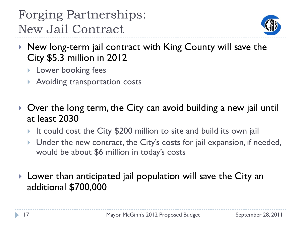Forging Partnerships: New Jail Contract



- $\blacktriangleright$  New long-term jail contract with King County will save the City \$5.3 million in 2012
	- **Lower booking fees**
	- **Avoiding transportation costs**
- ▶ Over the long term, the City can avoid building a new jail until at least 2030
	- It could cost the City \$200 million to site and build its own jail
	- ▶ Under the new contract, the City's costs for jail expansion, if needed, would be about \$6 million in today's costs
- Lower than anticipated jail population will save the City an additional \$700,000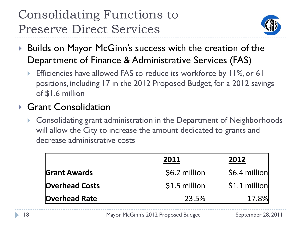### Consolidating Functions to Preserve Direct Services



- ▶ Builds on Mayor McGinn's success with the creation of the Department of Finance & Administrative Services (FAS)
	- Efficiencies have allowed FAS to reduce its workforce by 11%, or 61 positions, including 17 in the 2012 Proposed Budget, for a 2012 savings of \$1.6 million

#### ▶ Grant Consolidation

 Consolidating grant administration in the Department of Neighborhoods will allow the City to increase the amount dedicated to grants and decrease administrative costs

|                       | 2011          | 2012           |
|-----------------------|---------------|----------------|
| <b>Grant Awards</b>   | \$6.2 million | \$6.4 million  |
| <b>Overhead Costs</b> | \$1.5 million | $$1.1$ million |
| <b>Overhead Rate</b>  | 23.5%         | 17.8%          |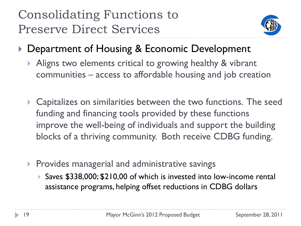Consolidating Functions to Preserve Direct Services



- ▶ Department of Housing & Economic Development
	- Aligns two elements critical to growing healthy & vibrant communities – access to affordable housing and job creation
	- **Capitalizes on similarities between the two functions. The seed Fig. 2** funding and financing tools provided by these functions improve the well-being of individuals and support the building blocks of a thriving community. Both receive CDBG funding.
	- $\triangleright$  Provides managerial and administrative savings
		- ▶ Saves \$338,000; \$210,00 of which is invested into low-income rental assistance programs, helping offset reductions in CDBG dollars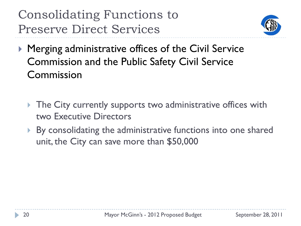# Consolidating Functions to Preserve Direct Services



- ▶ Merging administrative offices of the Civil Service Commission and the Public Safety Civil Service Commission
	- ▶ The City currently supports two administrative offices with two Executive Directors
	- By consolidating the administrative functions into one shared unit, the City can save more than \$50,000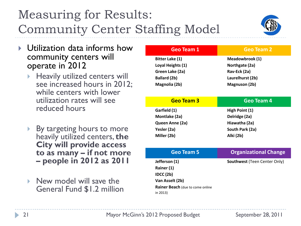# Measuring for Results: Community Center Staffing Model



- Utilization data informs how community centers will operate in 2012
	- $\blacktriangleright$  Heavily utilized centers will see increased hours in 2012; while centers with lower utilization rates will see reduced hours
	- By targeting hours to more heavily utilized centers, **the City will provide access to as many – if not more – people in 2012 as 2011**
	- $\triangleright$  New model will save the General Fund \$1.2 million

| <b>Geo Team 1</b>                       | <b>Geo Team 2</b>                   |
|-----------------------------------------|-------------------------------------|
| <b>Bitter Lake (1)</b>                  | Meadowbrook (1)                     |
| Loyal Heights (1)                       | Northgate (2a)                      |
| Green Lake (2a)                         | Rav-Eck (2a)                        |
| <b>Ballard (2b)</b>                     | Laurelhurst (2b)                    |
| Magnolia (2b)                           | <b>Magnuson (2b)</b>                |
|                                         |                                     |
| <b>Geo Team 3</b>                       | Geo Team 4                          |
| Garfield (1)                            | High Point (1)                      |
| Montlake (2a)                           | Delridge (2a)                       |
| Queen Anne (2a)                         | Hiawatha (2a)                       |
| Yesler (2a)                             | South Park (2a)                     |
| Miller (2b)                             | Alki (2b)                           |
|                                         |                                     |
| <b>Geo Team 5</b>                       | <b>Organizational Change</b>        |
| Jefferson (1)                           | <b>Southwest (Teen Center Only)</b> |
| Rainer (1)                              |                                     |
| IDCC(2b)                                |                                     |
| Van Asselt (2b)                         |                                     |
| <b>Rainer Beach</b> (due to come online |                                     |
| in 2013)                                |                                     |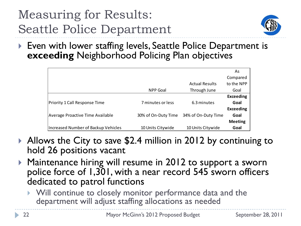# Measuring for Results: Seattle Police Department



▶ Even with lower staffing levels, Seattle Police Department is **exceeding** Neighborhood Policing Plan objectives

|                                     |                     |                       | As               |
|-------------------------------------|---------------------|-----------------------|------------------|
|                                     |                     |                       | Compared         |
|                                     |                     | <b>Actual Results</b> | to the NPP       |
|                                     | <b>NPP Goal</b>     | Through June          | Goal             |
|                                     |                     |                       | <b>Exceeding</b> |
| Priority 1 Call Response Time       | 7 minutes or less   | 6.3 minutes           | Goal             |
|                                     |                     |                       | <b>Exceeding</b> |
| Average Proactive Time Available    | 30% of On-Duty Time | 34% of On-Duty Time   | Goal             |
|                                     |                     |                       | <b>Meeting</b>   |
| Increased Number of Backup Vehicles | 10 Units Citywide   | 10 Units Citywide     | Goal             |

- ▶ Allows the City to save \$2.4 million in 2012 by continuing to hold 26 positions vacant
- ▶ Maintenance hiring will resume in 2012 to support a sworn police force of 1,301, with a near record 545 sworn officers dedicated to patrol functions
	- Will continue to closely monitor performance data and the department will adjust staffing allocations as needed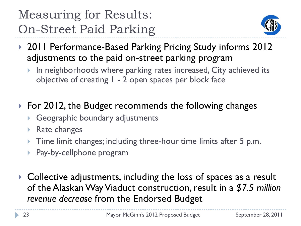# Measuring for Results: On-Street Paid Parking



- ▶ 2011 Performance-Based Parking Pricing Study informs 2012 adjustments to the paid on-street parking program
	- In neighborhoods where parking rates increased, City achieved its objective of creating 1 - 2 open spaces per block face
- ▶ For 2012, the Budget recommends the following changes
	- Geographic boundary adjustments
	- Rate changes
	- Time limit changes; including three-hour time limits after 5 p.m.
	- Pay-by-cellphone program
- ▶ Collective adjustments, including the loss of spaces as a result of the Alaskan Way Viaduct construction, result in a *\$7.5 million revenue decrease* from the Endorsed Budget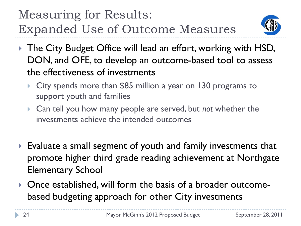# Measuring for Results: Expanded Use of Outcome Measures



- ▶ The City Budget Office will lead an effort, working with HSD, DON, and OFE, to develop an outcome-based tool to assess the effectiveness of investments
	- ▶ City spends more than \$85 million a year on 130 programs to support youth and families
	- Can tell you how many people are served, but *not* whether the investments achieve the intended outcomes
- Evaluate a small segment of youth and family investments that promote higher third grade reading achievement at Northgate Elementary School
- Once established, will form the basis of a broader outcomebased budgeting approach for other City investments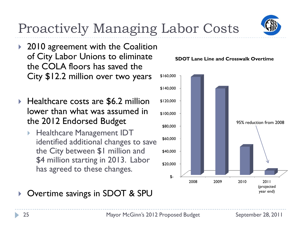

# Proactively Managing Labor Costs

- ▶ 2010 agreement with the Coalition of City Labor Unions to eliminate the COLA floors has saved the City \$12.2 million over two years
- ▶ Healthcare costs are \$6.2 million lower than what was assumed in the 2012 Endorsed Budget
	- Healthcare Management IDT identified additional changes to save the City between \$1 million and \$4 million starting in 2013. Labor has agreed to these changes.

#### Overtime savings in SDOT & SPU



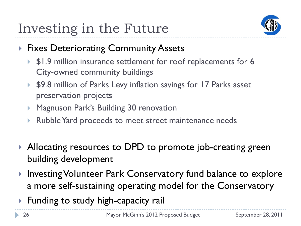

- **Fixes Deteriorating Community Assets** 
	- ▶ \$1.9 million insurance settlement for roof replacements for 6 City-owned community buildings
	- ▶ \$9.8 million of Parks Levy inflation savings for 17 Parks asset preservation projects
	- ▶ Magnuson Park's Building 30 renovation
	- Rubble Yard proceeds to meet street maintenance needs
- ▶ Allocating resources to DPD to promote job-creating green building development
- ▶ Investing Volunteer Park Conservatory fund balance to explore a more self-sustaining operating model for the Conservatory
- ▶ Funding to study high-capacity rail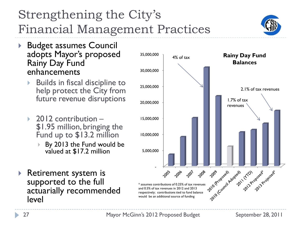

- ▶ Budget assumes Council adopts Mayor's proposed Rainy Day Fund enhancements
	- Builds in fiscal discipline to help protect the City from future revenue disruptions
	- $\rightarrow$  2012 contribution \$1.95 million, bringing the Fund up to \$13.2 million
		- By 2013 the Fund would be valued at \$17.2 million
- ▶ Retirement system is supported to the full actuarially recommended level







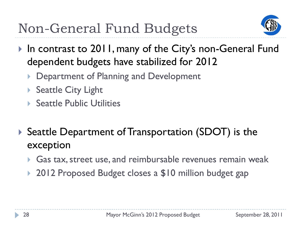

- ▶ In contrast to 2011, many of the City's non-General Fund dependent budgets have stabilized for 2012
	- Department of Planning and Development
	- ▶ Seattle City Light
	- ▶ Seattle Public Utilities
- ▶ Seattle Department of Transportation (SDOT) is the exception
	- Gas tax, street use, and reimbursable revenues remain weak
	- ▶ 2012 Proposed Budget closes a \$10 million budget gap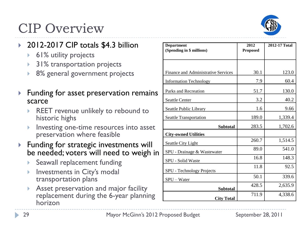

# CIP Overview

#### 2012-2017 CIP totals \$4.3 billion

- **▶ 61% utility projects**
- 31% transportation projects
- 8% general government projects
- $\blacktriangleright$  Funding for asset preservation remains scarce
	- REET revenue unlikely to rebound to historic highs
	- Investing one-time resources into asset preservation where feasible
- **Funding for strategic investments will** be needed; voters will need to weigh in
	- Seawall replacement funding
	- Investments in City's modal transportation plans
	- Asset preservation and major facility replacement during the 6-year planning horizon

| <b>Department</b>                          | 2012            | 2012-17 Total |
|--------------------------------------------|-----------------|---------------|
| (Spending in \$ millions)                  | <b>Proposed</b> |               |
|                                            |                 |               |
| <b>Finance and Administrative Services</b> | 30.1            | 123.0         |
| <b>Information Technology</b>              | 7.9             | 60.4          |
| Parks and Recreation                       | 51.7            | 130.0         |
| <b>Seattle Center</b>                      | 3.2             | 40.2          |
| Seattle Public Library                     | 1.6             | 9.66          |
| <b>Seattle Transportation</b>              | 189.0           | 1,339.4       |
| <b>Subtotal</b>                            | 283.5           | 1,702.6       |
| <b>City-owned Utilities</b>                |                 |               |
| Seattle City Light                         | 260.7           | 1,514.5       |
| SPU - Drainage & Wastewater                | 89.0            | 541.0         |
| SPU - Solid Waste                          | 16.8            | 148.3         |
| SPU - Technology Projects                  | 11.8            | 92.5          |
| SPU - Water                                | 50.1            | 339.6         |
| <b>Subtotal</b>                            | 428.5           | 2,635.9       |
| <b>City Total</b>                          | 711.9           | 4,338.6       |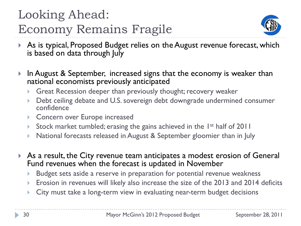# Looking Ahead: Economy Remains Fragile



- ▶ As is typical, Proposed Budget relies on the August revenue forecast, which is based on data through July
- In August & September, increased signs that the economy is weaker than national economists previously anticipated
	- Great Recession deeper than previously thought; recovery weaker
	- Debt ceiling debate and U.S. sovereign debt downgrade undermined consumer confidence
	- ▶ Concern over Europe increased
	- Stock market tumbled; erasing the gains achieved in the  $1^{st}$  half of 2011
	- National forecasts released in August & September gloomier than in July
- As a result, the City revenue team anticipates a modest erosion of General Fund revenues when the forecast is updated in November
	- Budget sets aside a reserve in preparation for potential revenue weakness
	- ▶ Erosion in revenues will likely also increase the size of the 2013 and 2014 deficits
	- City must take a long-term view in evaluating near-term budget decisions